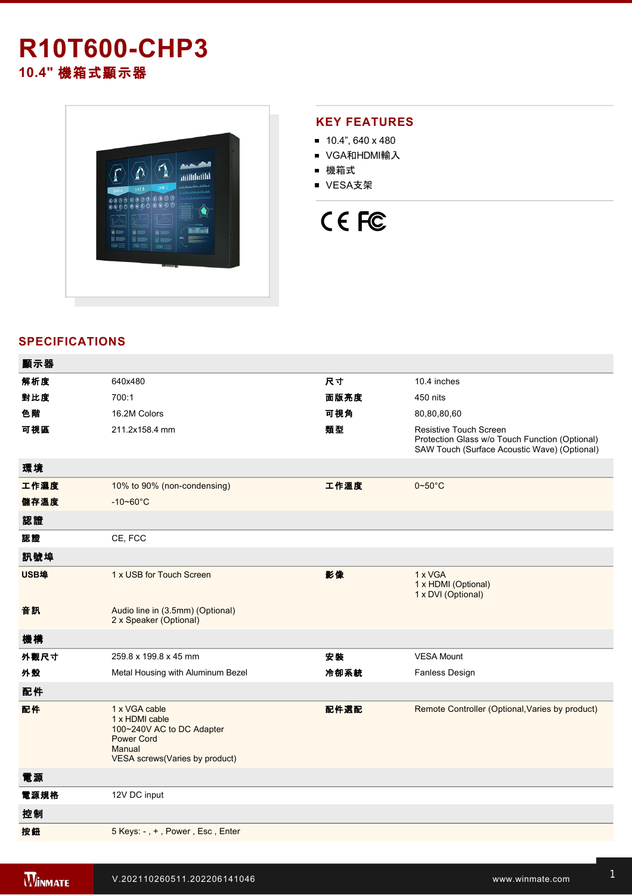## **R10T600-CHP3 10.4"** 機箱式顯示器



### **KEY FEATURES**

- $10.4$ ", 640 x 480
- VGA和HDMI輸入
- 機箱式
- VESA支架

# CE FC

### **SPECIFICATIONS**

| 顯示器  |                                                                                                                               |      |                                                                                                                                 |
|------|-------------------------------------------------------------------------------------------------------------------------------|------|---------------------------------------------------------------------------------------------------------------------------------|
| 解析度  | 640x480                                                                                                                       | 尺寸   | 10.4 inches                                                                                                                     |
| 對比度  | 700:1                                                                                                                         | 面版亮度 | 450 nits                                                                                                                        |
| 色階   | 16.2M Colors                                                                                                                  | 可視角  | 80,80,80,60                                                                                                                     |
| 可視區  | 211.2x158.4 mm                                                                                                                | 類型   | <b>Resistive Touch Screen</b><br>Protection Glass w/o Touch Function (Optional)<br>SAW Touch (Surface Acoustic Wave) (Optional) |
| 環境   |                                                                                                                               |      |                                                                                                                                 |
| 工作濕度 | 10% to 90% (non-condensing)                                                                                                   | 工作溫度 | $0 - 50$ °C                                                                                                                     |
| 儲存溫度 | $-10 - 60^{\circ}C$                                                                                                           |      |                                                                                                                                 |
| 認證   |                                                                                                                               |      |                                                                                                                                 |
| 認證   | CE, FCC                                                                                                                       |      |                                                                                                                                 |
| 訊號埠  |                                                                                                                               |      |                                                                                                                                 |
| USB埠 | 1 x USB for Touch Screen                                                                                                      | 影像   | 1 x VGA<br>1 x HDMI (Optional)<br>1 x DVI (Optional)                                                                            |
| 音訊   | Audio line in (3.5mm) (Optional)<br>2 x Speaker (Optional)                                                                    |      |                                                                                                                                 |
| 機構   |                                                                                                                               |      |                                                                                                                                 |
| 外觀尺寸 | 259.8 x 199.8 x 45 mm                                                                                                         | 安裝   | <b>VESA Mount</b>                                                                                                               |
| 外殼   | Metal Housing with Aluminum Bezel                                                                                             | 冷卻系統 | Fanless Design                                                                                                                  |
| 配件   |                                                                                                                               |      |                                                                                                                                 |
| 配件   | 1 x VGA cable<br>1 x HDMI cable<br>100~240V AC to DC Adapter<br><b>Power Cord</b><br>Manual<br>VESA screws(Varies by product) | 配件選配 | Remote Controller (Optional, Varies by product)                                                                                 |
| 電源   |                                                                                                                               |      |                                                                                                                                 |
| 電源規格 | 12V DC input                                                                                                                  |      |                                                                                                                                 |
| 控制   |                                                                                                                               |      |                                                                                                                                 |
| 按鈕   | 5 Keys: -, +, Power, Esc, Enter                                                                                               |      |                                                                                                                                 |